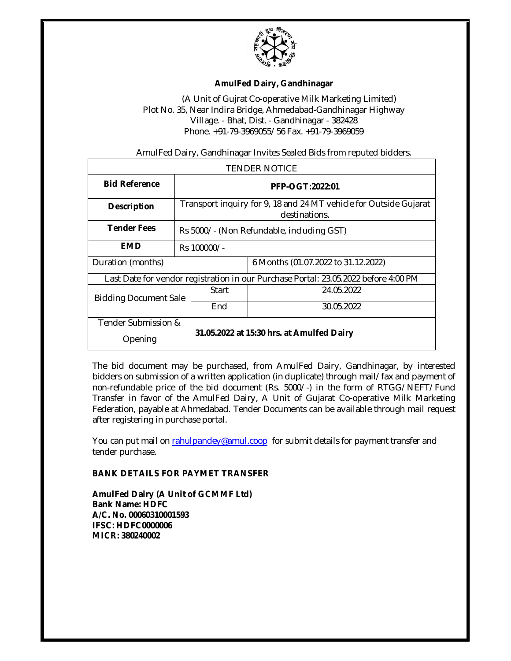

## **AmulFed Dairy, Gandhinagar**

(A Unit of Gujrat Co-operative Milk Marketing Limited) Plot No. 35, Near Indira Bridge, Ahmedabad-Gandhinagar Highway Village. - Bhat, Dist. - Gandhinagar - 382428 Phone. +91-79-3969055/56 Fax. +91-79-3969059

AmulFed Dairy, Gandhinagar Invites Sealed Bids from reputed bidders.

| <b>TENDER NOTICE</b>                                                                |                                                                                    |                                           |                                     |  |
|-------------------------------------------------------------------------------------|------------------------------------------------------------------------------------|-------------------------------------------|-------------------------------------|--|
| <b>Bid Reference</b>                                                                | PFP-OGT:2022:01                                                                    |                                           |                                     |  |
| <b>Description</b>                                                                  | Transport inquiry for 9, 18 and 24 MT vehicle for Outside Gujarat<br>destinations. |                                           |                                     |  |
| <b>Tender Fees</b>                                                                  | Rs 5000/- (Non Refundable, including GST)                                          |                                           |                                     |  |
| <b>EMD</b>                                                                          | Rs 100000/-                                                                        |                                           |                                     |  |
| Duration (months)                                                                   |                                                                                    |                                           | 6 Months (01.07.2022 to 31.12.2022) |  |
| Last Date for vendor registration in our Purchase Portal: 23.05.2022 before 4:00 PM |                                                                                    |                                           |                                     |  |
| <b>Bidding Document Sale</b>                                                        |                                                                                    | Start                                     | 24.05.2022                          |  |
|                                                                                     |                                                                                    | End                                       | 30.05.2022                          |  |
| Tender Submission &                                                                 |                                                                                    | 31.05.2022 at 15:30 hrs. at Amulfed Dairy |                                     |  |
| Opening                                                                             |                                                                                    |                                           |                                     |  |

The bid document may be purchased, from AmulFed Dairy, Gandhinagar, by interested bidders on submission of a written application (in duplicate) through mail/fax and payment of non-refundable price of the bid document (Rs. 5000/-) in the form of RTGG/NEFT/Fund Transfer in favor of the AmulFed Dairy, A Unit of Gujarat Co-operative Milk Marketing Federation, payable at Ahmedabad. Tender Documents can be available through mail request after registering in purchase portal.

You can put mail on rahulpandey@amul.coop for submit details for payment transfer and tender purchase.

## **BANK DETAILS FOR PAYMET TRANSFER**

**AmulFed Dairy (A Unit of GCMMF Ltd) Bank Name: HDFC A/C. No. 00060310001593 IFSC: HDFC0000006 MICR: 380240002**